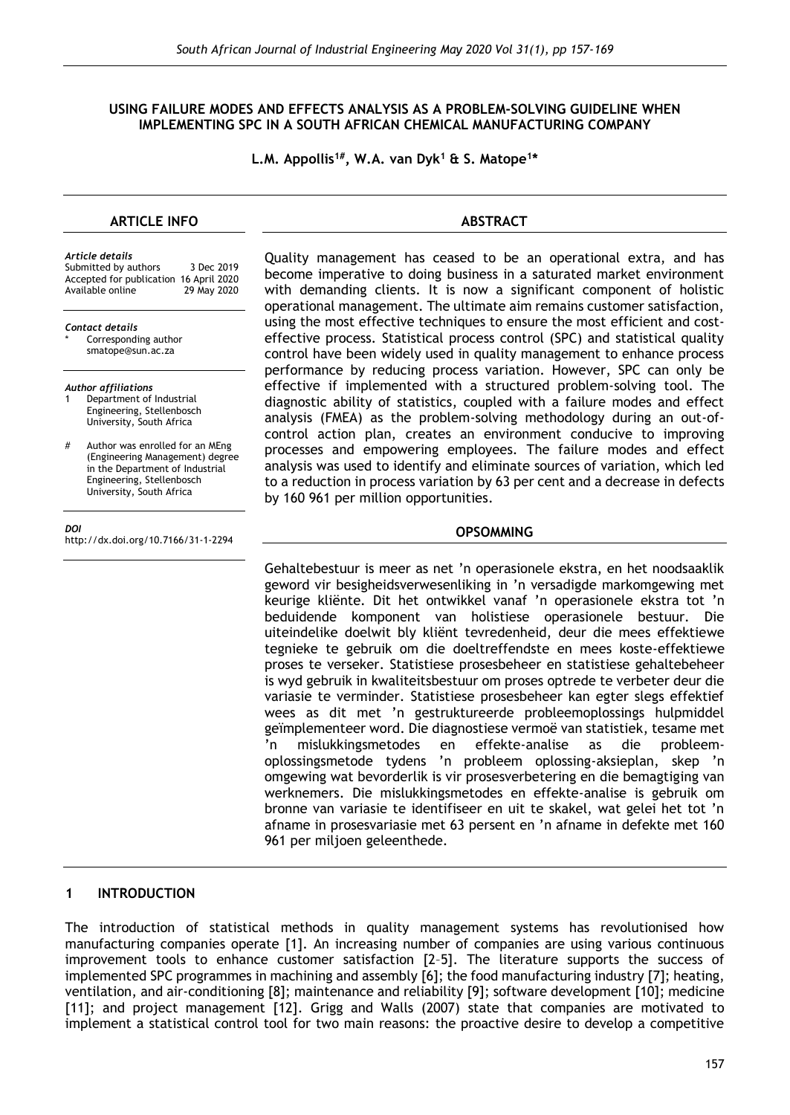#### **USING FAILURE MODES AND EFFECTS ANALYSIS AS A PROBLEM-SOLVING GUIDELINE WHEN IMPLEMENTING SPC IN A SOUTH AFRICAN CHEMICAL MANUFACTURING COMPANY**

**L.M. Appollis1#, W.A. van Dyk<sup>1</sup> & S. Matope<sup>1</sup> \***

#### **ARTICLE INFO**

#### *Article details*

Submitted by authors 3 Dec 2019 Accepted for publication 16 April 2020<br>Available online 29 May 2020 Available online

*Contact details* Corresponding author smatope@sun.ac.za

*Author affiliations* Department of Industrial Engineering, Stellenbosch University, South Africa

Author was enrolled for an MEng (Engineering Management) degree in the Department of Industrial Engineering, Stellenbosch University, South Africa

#### *DOI*

http://dx.doi.org/10.7166/31-1-2294

Quality management has ceased to be an operational extra, and has become imperative to doing business in a saturated market environment with demanding clients. It is now a significant component of holistic operational management. The ultimate aim remains customer satisfaction, using the most effective techniques to ensure the most efficient and costeffective process. Statistical process control (SPC) and statistical quality control have been widely used in quality management to enhance process performance by reducing process variation. However, SPC can only be effective if implemented with a structured problem-solving tool. The diagnostic ability of statistics, coupled with a failure modes and effect analysis (FMEA) as the problem-solving methodology during an out-ofcontrol action plan, creates an environment conducive to improving processes and empowering employees. The failure modes and effect analysis was used to identify and eliminate sources of variation, which led to a reduction in process variation by 63 per cent and a decrease in defects by 160 961 per million opportunities.

**ABSTRACT**

#### **OPSOMMING**

Gehaltebestuur is meer as net 'n operasionele ekstra, en het noodsaaklik geword vir besigheidsverwesenliking in 'n versadigde markomgewing met keurige kliënte. Dit het ontwikkel vanaf 'n operasionele ekstra tot 'n beduidende komponent van holistiese operasionele bestuur. Die uiteindelike doelwit bly kliënt tevredenheid, deur die mees effektiewe tegnieke te gebruik om die doeltreffendste en mees koste-effektiewe proses te verseker. Statistiese prosesbeheer en statistiese gehaltebeheer is wyd gebruik in kwaliteitsbestuur om proses optrede te verbeter deur die variasie te verminder. Statistiese prosesbeheer kan egter slegs effektief wees as dit met 'n gestruktureerde probleemoplossings hulpmiddel geïmplementeer word. Die diagnostiese vermoë van statistiek, tesame met 'n mislukkingsmetodes en effekte-analise as die probleemoplossingsmetode tydens 'n probleem oplossing-aksieplan, skep 'n omgewing wat bevorderlik is vir prosesverbetering en die bemagtiging van werknemers. Die mislukkingsmetodes en effekte-analise is gebruik om bronne van variasie te identifiseer en uit te skakel, wat gelei het tot 'n afname in prosesvariasie met 63 persent en 'n afname in defekte met 160 961 per miljoen geleenthede.

#### **1 INTRODUCTION**

The introduction of statistical methods in quality management systems has revolutionised how manufacturing companies operate [1]. An increasing number of companies are using various continuous improvement tools to enhance customer satisfaction [2–5]. The literature supports the success of implemented SPC programmes in machining and assembly [6]; the food manufacturing industry [7]; heating, ventilation, and air-conditioning [8]; maintenance and reliability [9]; software development [10]; medicine [11]; and project management [12]. Grigg and Walls (2007) state that companies are motivated to implement a statistical control tool for two main reasons: the proactive desire to develop a competitive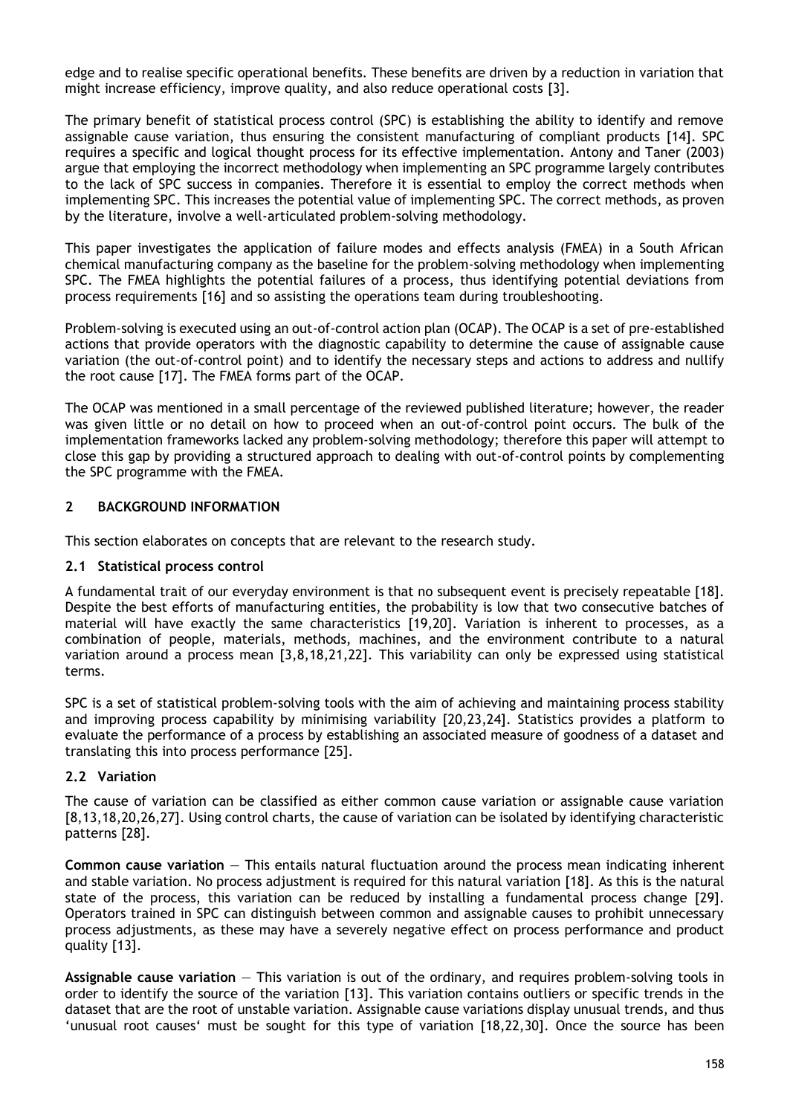edge and to realise specific operational benefits. These benefits are driven by a reduction in variation that might increase efficiency, improve quality, and also reduce operational costs [3].

The primary benefit of statistical process control (SPC) is establishing the ability to identify and remove assignable cause variation, thus ensuring the consistent manufacturing of compliant products [14]. SPC requires a specific and logical thought process for its effective implementation. Antony and Taner (2003) argue that employing the incorrect methodology when implementing an SPC programme largely contributes to the lack of SPC success in companies. Therefore it is essential to employ the correct methods when implementing SPC. This increases the potential value of implementing SPC. The correct methods, as proven by the literature, involve a well-articulated problem-solving methodology.

This paper investigates the application of failure modes and effects analysis (FMEA) in a South African chemical manufacturing company as the baseline for the problem-solving methodology when implementing SPC. The FMEA highlights the potential failures of a process, thus identifying potential deviations from process requirements [16] and so assisting the operations team during troubleshooting.

Problem-solving is executed using an out-of-control action plan (OCAP). The OCAP is a set of pre-established actions that provide operators with the diagnostic capability to determine the cause of assignable cause variation (the out-of-control point) and to identify the necessary steps and actions to address and nullify the root cause [17]. The FMEA forms part of the OCAP.

The OCAP was mentioned in a small percentage of the reviewed published literature; however, the reader was given little or no detail on how to proceed when an out-of-control point occurs. The bulk of the implementation frameworks lacked any problem-solving methodology; therefore this paper will attempt to close this gap by providing a structured approach to dealing with out-of-control points by complementing the SPC programme with the FMEA.

## **2 BACKGROUND INFORMATION**

This section elaborates on concepts that are relevant to the research study.

## **2.1 Statistical process control**

A fundamental trait of our everyday environment is that no subsequent event is precisely repeatable [18]. Despite the best efforts of manufacturing entities, the probability is low that two consecutive batches of material will have exactly the same characteristics [19,20]. Variation is inherent to processes, as a combination of people, materials, methods, machines, and the environment contribute to a natural variation around a process mean [3,8,18,21,22]. This variability can only be expressed using statistical terms.

SPC is a set of statistical problem-solving tools with the aim of achieving and maintaining process stability and improving process capability by minimising variability [20,23,24]. Statistics provides a platform to evaluate the performance of a process by establishing an associated measure of goodness of a dataset and translating this into process performance [25].

## **2.2 Variation**

The cause of variation can be classified as either common cause variation or assignable cause variation [8,13,18,20,26,27]. Using control charts, the cause of variation can be isolated by identifying characteristic patterns [28].

**Common cause variation** — This entails natural fluctuation around the process mean indicating inherent and stable variation. No process adjustment is required for this natural variation [18]. As this is the natural state of the process, this variation can be reduced by installing a fundamental process change [29]. Operators trained in SPC can distinguish between common and assignable causes to prohibit unnecessary process adjustments, as these may have a severely negative effect on process performance and product quality [13].

**Assignable cause variation** — This variation is out of the ordinary, and requires problem-solving tools in order to identify the source of the variation [13]. This variation contains outliers or specific trends in the dataset that are the root of unstable variation. Assignable cause variations display unusual trends, and thus 'unusual root causes' must be sought for this type of variation [18,22,30]. Once the source has been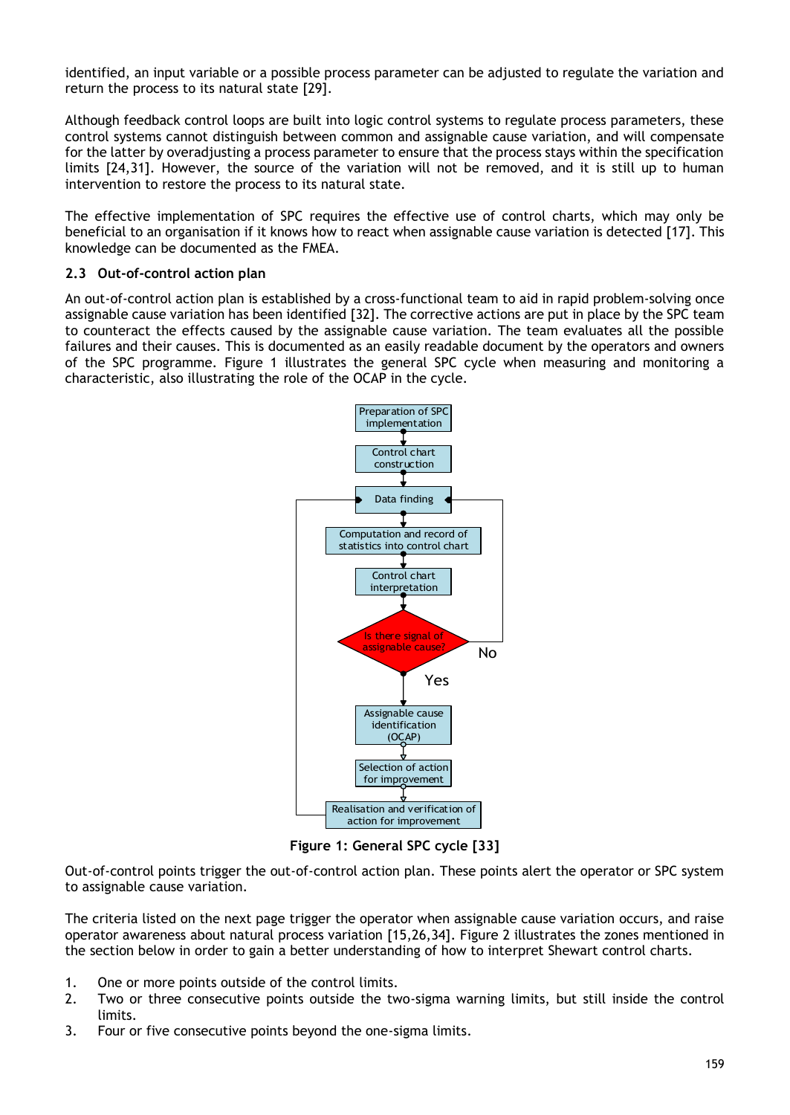identified, an input variable or a possible process parameter can be adjusted to regulate the variation and return the process to its natural state [29].

Although feedback control loops are built into logic control systems to regulate process parameters, these control systems cannot distinguish between common and assignable cause variation, and will compensate for the latter by overadjusting a process parameter to ensure that the process stays within the specification limits [24,31]. However, the source of the variation will not be removed, and it is still up to human intervention to restore the process to its natural state.

The effective implementation of SPC requires the effective use of control charts, which may only be beneficial to an organisation if it knows how to react when assignable cause variation is detected [17]. This knowledge can be documented as the FMEA.

#### <span id="page-2-1"></span>**2.3 Out-of-control action plan**

An out-of-control action plan is established by a cross-functional team to aid in rapid problem-solving once assignable cause variation has been identified [32]. The corrective actions are put in place by the SPC team to counteract the effects caused by the assignable cause variation. The team evaluates all the possible failures and their causes. This is documented as an easily readable document by the operators and owners of the SPC programme. [Figure 1](#page-2-0) illustrates the general SPC cycle when measuring and monitoring a characteristic, also illustrating the role of the OCAP in the cycle.



**Figure 1: General SPC cycle [33]**

<span id="page-2-0"></span>Out-of-control points trigger the out-of-control action plan. These points alert the operator or SPC system to assignable cause variation.

The criteria listed on the next page trigger the operator when assignable cause variation occurs, and raise operator awareness about natural process variation [15,26,34]. [Figure 2](#page-3-0) illustrates the zones mentioned in the section below in order to gain a better understanding of how to interpret Shewart control charts.

- 1. One or more points outside of the control limits.
- 2. Two or three consecutive points outside the two-sigma warning limits, but still inside the control limits.
- 3. Four or five consecutive points beyond the one-sigma limits.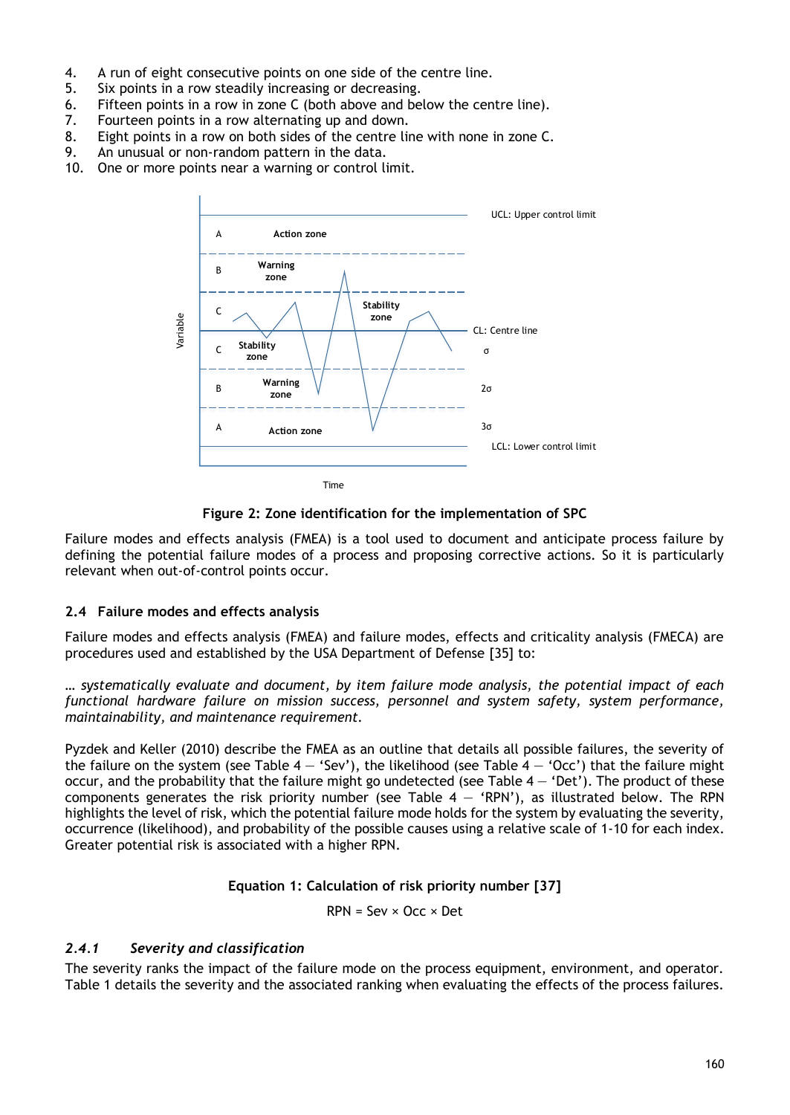- 4. A run of eight consecutive points on one side of the centre line.
- 5. Six points in a row steadily increasing or decreasing.
- 6. Fifteen points in a row in zone C (both above and below the centre line).
- 7. Fourteen points in a row alternating up and down.
- 8. Eight points in a row on both sides of the centre line with none in zone C.
- 9. An unusual or non-random pattern in the data.
- 10. One or more points near a warning or control limit.



**Figure 2: Zone identification for the implementation of SPC**

<span id="page-3-0"></span>Failure modes and effects analysis (FMEA) is a tool used to document and anticipate process failure by defining the potential failure modes of a process and proposing corrective actions. So it is particularly relevant when out-of-control points occur.

## **2.4 Failure modes and effects analysis**

Failure modes and effects analysis (FMEA) and failure modes, effects and criticality analysis (FMECA) are procedures used and established by the USA Department of Defense [35] to:

*… systematically evaluate and document, by item failure mode analysis, the potential impact of each functional hardware failure on mission success, personnel and system safety, system performance, maintainability, and maintenance requirement.*

Pyzdek and Keller (2010) describe the FMEA as an outline that details all possible failures, the severity of the failure on the system (see [Table](#page-8-0)  $4 - 'Sev'$ ), the likelihood (see [Table](#page-8-0)  $4 - 'Occ'$ ) that the failure might occur, and the probability that the failure might go undetected (see [Table](#page-8-0)  $4 - 'Det'$ ). The product of these components generates the risk priority number (see [Table](#page-8-0)  $4 - 4$ RPN'), as illustrated below. The RPN highlights the level of risk, which the potential failure mode holds for the system by evaluating the severity, occurrence (likelihood), and probability of the possible causes using a relative scale of 1-10 for each index. Greater potential risk is associated with a higher RPN.

#### **Equation 1: Calculation of risk priority number [37]**

 $RPN =$  Sev  $\times$  Occ  $\times$  Det

## *2.4.1 Severity and classification*

The severity ranks the impact of the failure mode on the process equipment, environment, and operator. [Table 1](#page-4-0) details the severity and the associated ranking when evaluating the effects of the process failures.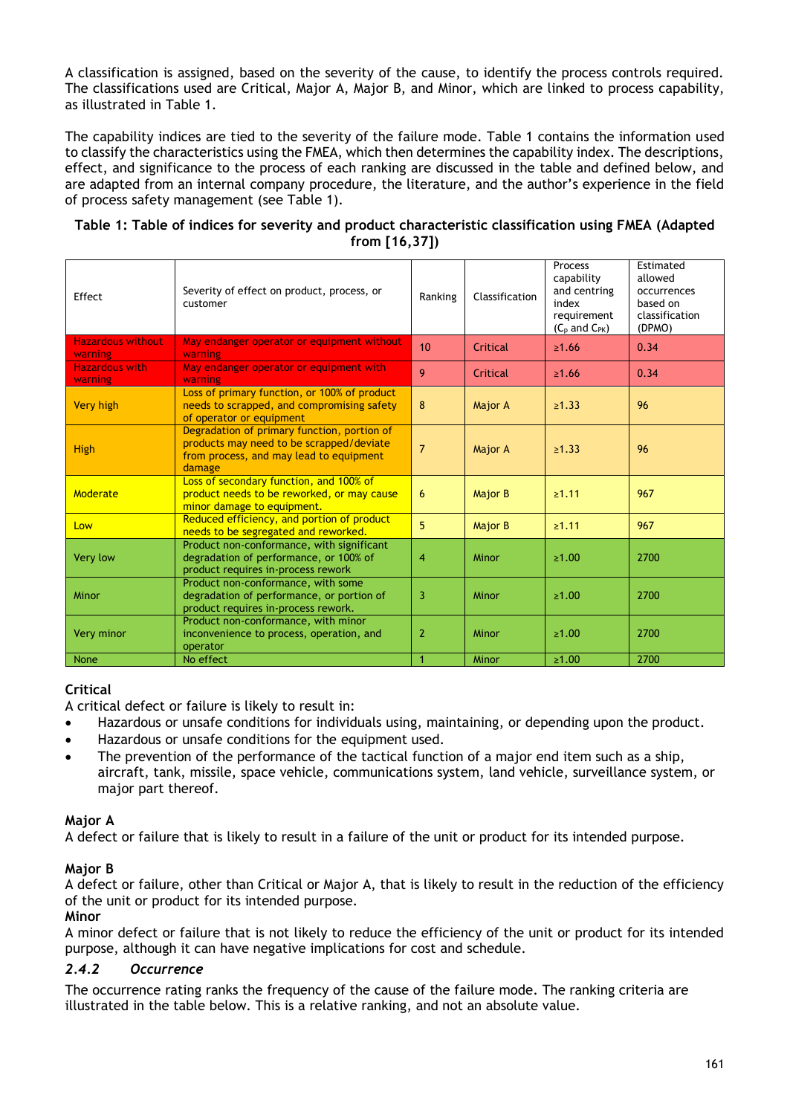A classification is assigned, based on the severity of the cause, to identify the process controls required. The classifications used are Critical, Major A, Major B, and Minor, which are linked to process capability, as illustrated in [Table 1.](#page-4-0)

The capability indices are tied to the severity of the failure mode. Table 1 contains the information used to classify the characteristics using the FMEA, which then determines the capability index. The descriptions, effect, and significance to the process of each ranking are discussed in the table and defined below, and are adapted from an internal company procedure, the literature, and the author's experience in the field of process safety management (see [Table 1\)](#page-4-0).

<span id="page-4-0"></span>

| Table 1: Table of indices for severity and product characteristic classification using FMEA (Adapted |  |
|------------------------------------------------------------------------------------------------------|--|
| from $[16, 37]$                                                                                      |  |

| Effect                              | Severity of effect on product, process, or<br>customer                                                                                       |                | Classification | Process<br>capability<br>and centring<br>index<br>requirement<br>$(C_p$ and $C_{PK}$ ) | Estimated<br>allowed<br>occurrences<br>based on<br>classification<br>(DPMO) |  |
|-------------------------------------|----------------------------------------------------------------------------------------------------------------------------------------------|----------------|----------------|----------------------------------------------------------------------------------------|-----------------------------------------------------------------------------|--|
| <b>Hazardous without</b><br>warning | May endanger operator or equipment without<br>warning                                                                                        | 10             | Critical       | $\ge 1.66$                                                                             | 0.34                                                                        |  |
| <b>Hazardous with</b><br>warning    | May endanger operator or equipment with<br>warning                                                                                           | 9              | Critical       | >1.66                                                                                  | 0.34                                                                        |  |
| <b>Very high</b>                    | Loss of primary function, or 100% of product<br>needs to scrapped, and compromising safety<br>of operator or equipment                       | 8              | Major A        | $\ge 1.33$                                                                             | 96                                                                          |  |
| <b>High</b>                         | Degradation of primary function, portion of<br>products may need to be scrapped/deviate<br>from process, and may lead to equipment<br>damage | $\overline{7}$ | <b>Major A</b> | >1.33                                                                                  | 96                                                                          |  |
| Moderate                            | Loss of secondary function, and 100% of<br>product needs to be reworked, or may cause<br>minor damage to equipment.                          | 6              | <b>Major B</b> | $\ge 1.11$                                                                             | 967                                                                         |  |
| Low                                 | Reduced efficiency, and portion of product<br>needs to be segregated and reworked.                                                           | $\overline{5}$ | <b>Major B</b> | ≥1.11                                                                                  | 967                                                                         |  |
| Very low                            | Product non-conformance, with significant<br>degradation of performance, or 100% of<br>product requires in-process rework                    | 4              | Minor          | ≥1.00                                                                                  | 2700                                                                        |  |
| Minor                               | Product non-conformance, with some<br>degradation of performance, or portion of<br>product requires in-process rework.                       | 3              | Minor          | >1.00                                                                                  | 2700                                                                        |  |
| Very minor                          | Product non-conformance, with minor<br>inconvenience to process, operation, and<br>operator                                                  | 2              | Minor          | >1.00                                                                                  | 2700                                                                        |  |
| None                                | No effect                                                                                                                                    | $\overline{1}$ | Minor          | ≥1.00                                                                                  | 2700                                                                        |  |

# **Critical**

A critical defect or failure is likely to result in:

- Hazardous or unsafe conditions for individuals using, maintaining, or depending upon the product.
- Hazardous or unsafe conditions for the equipment used.
- The prevention of the performance of the tactical function of a major end item such as a ship, aircraft, tank, missile, space vehicle, communications system, land vehicle, surveillance system, or major part thereof.

## **Major A**

A defect or failure that is likely to result in a failure of the unit or product for its intended purpose.

## **Major B**

A defect or failure, other than Critical or Major A, that is likely to result in the reduction of the efficiency of the unit or product for its intended purpose.

## **Minor**

A minor defect or failure that is not likely to reduce the efficiency of the unit or product for its intended purpose, although it can have negative implications for cost and schedule.

## *2.4.2 Occurrence*

The occurrence rating ranks the frequency of the cause of the failure mode. The ranking criteria are illustrated in the table below. This is a relative ranking, and not an absolute value.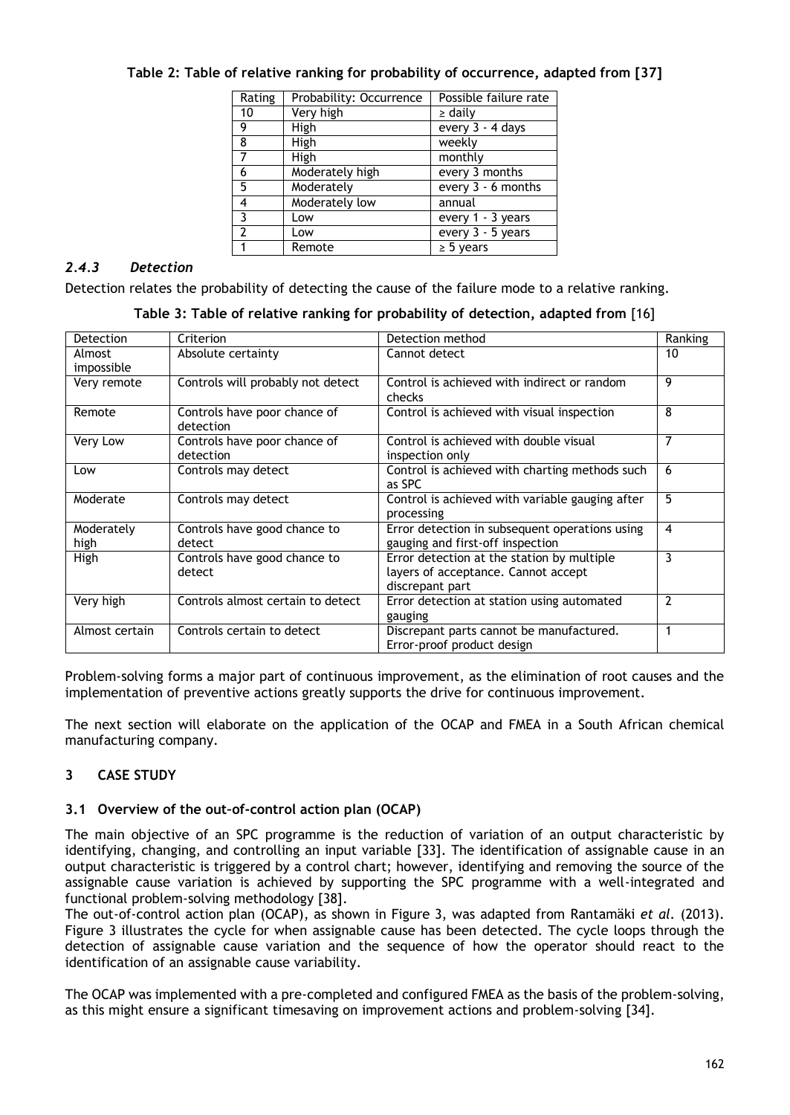| Rating                   | Probability: Occurrence | Possible failure rate |
|--------------------------|-------------------------|-----------------------|
| 10                       | Very high               | $\ge$ daily           |
| 9                        | High                    | every 3 - 4 days      |
| 8                        | High                    | weekly                |
|                          | High                    | monthly               |
| 6                        | Moderately high         | every 3 months        |
| -5                       | Moderately              | every 3 - 6 months    |
| 4                        | Moderately low          | annual                |
| $\mathcal{R}$            | Low                     | every 1 - 3 years     |
| $\overline{\phantom{a}}$ | Low                     | every 3 - 5 years     |
|                          | Remote                  | $\geq$ 5 years        |

#### **Table 2: Table of relative ranking for probability of occurrence, adapted from [37]**

#### *2.4.3 Detection*

Detection relates the probability of detecting the cause of the failure mode to a relative ranking.

|  |  |  | Table 3: Table of relative ranking for probability of detection, adapted from [16] |  |  |
|--|--|--|------------------------------------------------------------------------------------|--|--|

| Detection            | Criterion                                 | Detection method                                                                                     | Ranking |
|----------------------|-------------------------------------------|------------------------------------------------------------------------------------------------------|---------|
| Almost<br>impossible | Absolute certainty                        | Cannot detect                                                                                        | 10      |
| Very remote          | Controls will probably not detect         | Control is achieved with indirect or random<br>checks                                                | 9       |
| Remote               | Controls have poor chance of<br>detection | Control is achieved with visual inspection                                                           | 8       |
| Very Low             | Controls have poor chance of<br>detection | Control is achieved with double visual<br>inspection only                                            | 7       |
| Low                  | Controls may detect                       | Control is achieved with charting methods such<br>as SPC                                             | 6       |
| Moderate             | Controls may detect                       | Control is achieved with variable gauging after<br>processing                                        | 5       |
| Moderately<br>high   | Controls have good chance to<br>detect    | Error detection in subsequent operations using<br>gauging and first-off inspection                   | 4       |
| High                 | Controls have good chance to<br>detect    | Error detection at the station by multiple<br>layers of acceptance. Cannot accept<br>discrepant part | 3       |
| Very high            | Controls almost certain to detect         | Error detection at station using automated<br>gauging                                                | 2       |
| Almost certain       | Controls certain to detect                | Discrepant parts cannot be manufactured.<br>Error-proof product design                               |         |

Problem-solving forms a major part of continuous improvement, as the elimination of root causes and the implementation of preventive actions greatly supports the drive for continuous improvement.

The next section will elaborate on the application of the OCAP and FMEA in a South African chemical manufacturing company.

## **3 CASE STUDY**

#### **3.1 Overview of the out–of-control action plan (OCAP)**

The main objective of an SPC programme is the reduction of variation of an output characteristic by identifying, changing, and controlling an input variable [33]. The identification of assignable cause in an output characteristic is triggered by a control chart; however, identifying and removing the source of the assignable cause variation is achieved by supporting the SPC programme with a well-integrated and functional problem-solving methodology [38].

The out-of-control action plan (OCAP), as shown in Figure 3, was adapted from Rantamäki *et al.* (2013). [Figure 3](#page-7-0) illustrates the cycle for when assignable cause has been detected. The cycle loops through the detection of assignable cause variation and the sequence of how the operator should react to the identification of an assignable cause variability.

The OCAP was implemented with a pre-completed and configured FMEA as the basis of the problem-solving, as this might ensure a significant timesaving on improvement actions and problem-solving [34].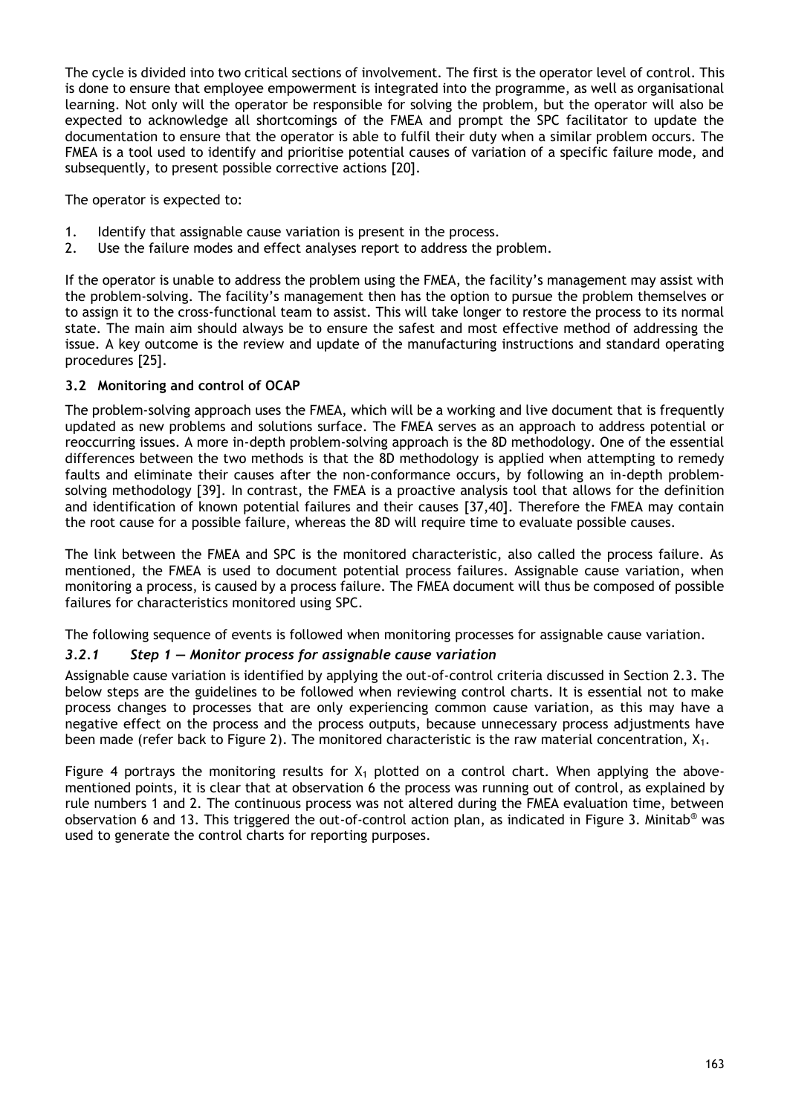The cycle is divided into two critical sections of involvement. The first is the operator level of control. This is done to ensure that employee empowerment is integrated into the programme, as well as organisational learning. Not only will the operator be responsible for solving the problem, but the operator will also be expected to acknowledge all shortcomings of the FMEA and prompt the SPC facilitator to update the documentation to ensure that the operator is able to fulfil their duty when a similar problem occurs. The FMEA is a tool used to identify and prioritise potential causes of variation of a specific failure mode, and subsequently, to present possible corrective actions [20].

The operator is expected to:

- 1. Identify that assignable cause variation is present in the process.
- 2. Use the failure modes and effect analyses report to address the problem.

If the operator is unable to address the problem using the FMEA, the facility's management may assist with the problem-solving. The facility's management then has the option to pursue the problem themselves or to assign it to the cross-functional team to assist. This will take longer to restore the process to its normal state. The main aim should always be to ensure the safest and most effective method of addressing the issue. A key outcome is the review and update of the manufacturing instructions and standard operating procedures [25].

# **3.2 Monitoring and control of OCAP**

The problem-solving approach uses the FMEA, which will be a working and live document that is frequently updated as new problems and solutions surface. The FMEA serves as an approach to address potential or reoccurring issues. A more in-depth problem-solving approach is the 8D methodology. One of the essential differences between the two methods is that the 8D methodology is applied when attempting to remedy faults and eliminate their causes after the non-conformance occurs, by following an in-depth problemsolving methodology [39]. In contrast, the FMEA is a proactive analysis tool that allows for the definition and identification of known potential failures and their causes [37,40]. Therefore the FMEA may contain the root cause for a possible failure, whereas the 8D will require time to evaluate possible causes.

The link between the FMEA and SPC is the monitored characteristic, also called the process failure. As mentioned, the FMEA is used to document potential process failures. Assignable cause variation, when monitoring a process, is caused by a process failure. The FMEA document will thus be composed of possible failures for characteristics monitored using SPC.

The following sequence of events is followed when monitoring processes for assignable cause variation.

## *3.2.1 Step 1 — Monitor process for assignable cause variation*

Assignable cause variation is identified by applying the out-of-control criteria discussed in Section [2.3.](#page-2-1) The below steps are the guidelines to be followed when reviewing control charts. It is essential not to make process changes to processes that are only experiencing common cause variation, as this may have a negative effect on the process and the process outputs, because unnecessary process adjustments have been made (refer back to [Figure 2\)](#page-3-0). The monitored characteristic is the raw material concentration,  $X_1$ .

[Figure 4](#page-7-1) portrays the monitoring results for  $X_1$  plotted on a control chart. When applying the abovementioned points, it is clear that at observation 6 the process was running out of control, as explained by rule numbers 1 and 2. The continuous process was not altered during the FMEA evaluation time, between observation 6 and 13. This triggered the out-of-control action plan, as indicated in [Figure 3.](#page-7-0) Minitab® was used to generate the control charts for reporting purposes.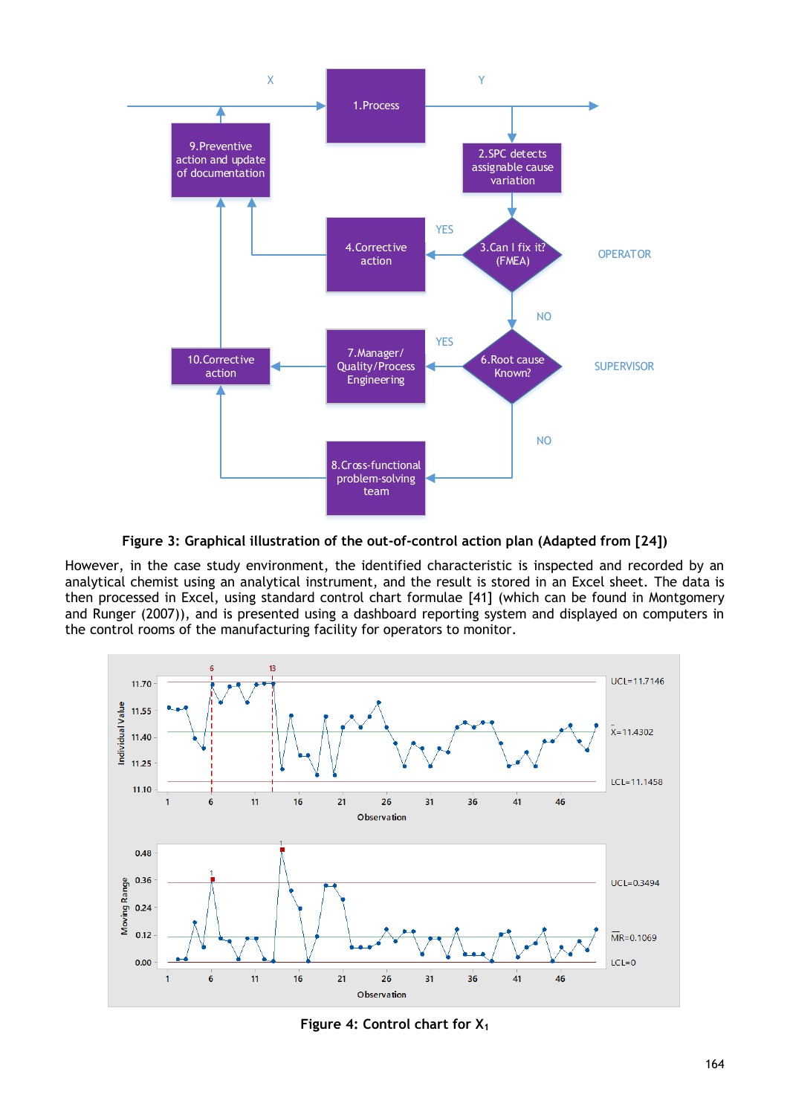

**Figure 3: Graphical illustration of the out-of-control action plan (Adapted from [24])**

<span id="page-7-0"></span>However, in the case study environment, the identified characteristic is inspected and recorded by an analytical chemist using an analytical instrument, and the result is stored in an Excel sheet. The data is then processed in Excel, using standard control chart formulae [41] (which can be found in Montgomery and Runger (2007)), and is presented using a dashboard reporting system and displayed on computers in the control rooms of the manufacturing facility for operators to monitor.



<span id="page-7-1"></span>**Figure 4: Control chart for X<sup>1</sup>**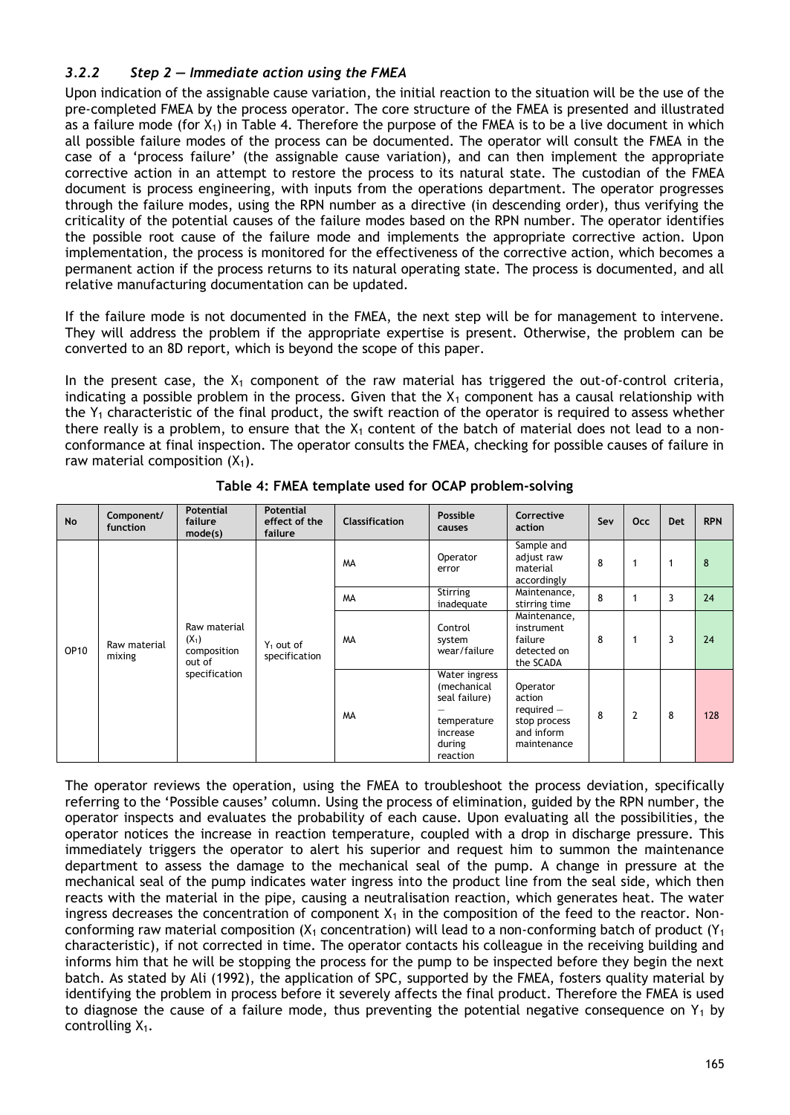# *3.2.2 Step 2 — Immediate action using the FMEA*

Upon indication of the assignable cause variation, the initial reaction to the situation will be the use of the pre-completed FMEA by the process operator. The core structure of the FMEA is presented and illustrated as a failure mode (for  $X_1$ ) in [Table](#page-8-0) 4. Therefore the purpose of the FMEA is to be a live document in which all possible failure modes of the process can be documented. The operator will consult the FMEA in the case of a 'process failure' (the assignable cause variation), and can then implement the appropriate corrective action in an attempt to restore the process to its natural state. The custodian of the FMEA document is process engineering, with inputs from the operations department. The operator progresses through the failure modes, using the RPN number as a directive (in descending order), thus verifying the criticality of the potential causes of the failure modes based on the RPN number. The operator identifies the possible root cause of the failure mode and implements the appropriate corrective action. Upon implementation, the process is monitored for the effectiveness of the corrective action, which becomes a permanent action if the process returns to its natural operating state. The process is documented, and all relative manufacturing documentation can be updated.

If the failure mode is not documented in the FMEA, the next step will be for management to intervene. They will address the problem if the appropriate expertise is present. Otherwise, the problem can be converted to an 8D report, which is beyond the scope of this paper.

In the present case, the  $X_1$  component of the raw material has triggered the out-of-control criteria, indicating a possible problem in the process. Given that the  $X_1$  component has a causal relationship with the  $Y_1$  characteristic of the final product, the swift reaction of the operator is required to assess whether there really is a problem, to ensure that the  $X_1$  content of the batch of material does not lead to a nonconformance at final inspection. The operator consults the FMEA, checking for possible causes of failure in raw material composition  $(X_1)$ .

<span id="page-8-0"></span>

| No          | Component/<br>function | <b>Potential</b><br>failure<br>mode(s)                            | <b>Potential</b><br>effect of the<br>failure | <b>Classification</b> | Possible<br>causes                                                                             | Corrective<br>action                                                            | Sev | <b>Occ</b>     | <b>Det</b> | <b>RPN</b> |
|-------------|------------------------|-------------------------------------------------------------------|----------------------------------------------|-----------------------|------------------------------------------------------------------------------------------------|---------------------------------------------------------------------------------|-----|----------------|------------|------------|
| <b>OP10</b> | Raw material<br>mixing | Raw material<br>$(X_1)$<br>composition<br>out of<br>specification | $Y_1$ out of<br>specification                | <b>MA</b>             | Operator<br>error                                                                              | Sample and<br>adjust raw<br>material<br>accordingly                             | 8   | 1              | 1          | 8          |
|             |                        |                                                                   |                                              | <b>MA</b>             | Stirring<br>inadequate                                                                         | Maintenance,<br>stirring time                                                   | 8   | 1              | 3          | 24         |
|             |                        |                                                                   |                                              | <b>MA</b>             | Control<br>system<br>wear/failure                                                              | Maintenance,<br>instrument<br>failure<br>detected on<br>the SCADA               | 8   | 1              | 3          | 24         |
|             |                        |                                                                   |                                              | <b>MA</b>             | Water ingress<br>(mechanical<br>seal failure)<br>temperature<br>increase<br>during<br>reaction | Operator<br>action<br>$required -$<br>stop process<br>and inform<br>maintenance | 8   | $\overline{2}$ | 8          | 128        |

**Table 4: FMEA template used for OCAP problem-solving**

The operator reviews the operation, using the FMEA to troubleshoot the process deviation, specifically referring to the 'Possible causes' column. Using the process of elimination, guided by the RPN number, the operator inspects and evaluates the probability of each cause. Upon evaluating all the possibilities, the operator notices the increase in reaction temperature, coupled with a drop in discharge pressure. This immediately triggers the operator to alert his superior and request him to summon the maintenance department to assess the damage to the mechanical seal of the pump. A change in pressure at the mechanical seal of the pump indicates water ingress into the product line from the seal side, which then reacts with the material in the pipe, causing a neutralisation reaction, which generates heat. The water ingress decreases the concentration of component  $X_1$  in the composition of the feed to the reactor. Nonconforming raw material composition ( $X_1$  concentration) will lead to a non-conforming batch of product ( $Y_1$ characteristic), if not corrected in time. The operator contacts his colleague in the receiving building and informs him that he will be stopping the process for the pump to be inspected before they begin the next batch. As stated by Ali (1992), the application of SPC, supported by the FMEA, fosters quality material by identifying the problem in process before it severely affects the final product. Therefore the FMEA is used to diagnose the cause of a failure mode, thus preventing the potential negative consequence on  $Y_1$  by controlling  $X_1$ .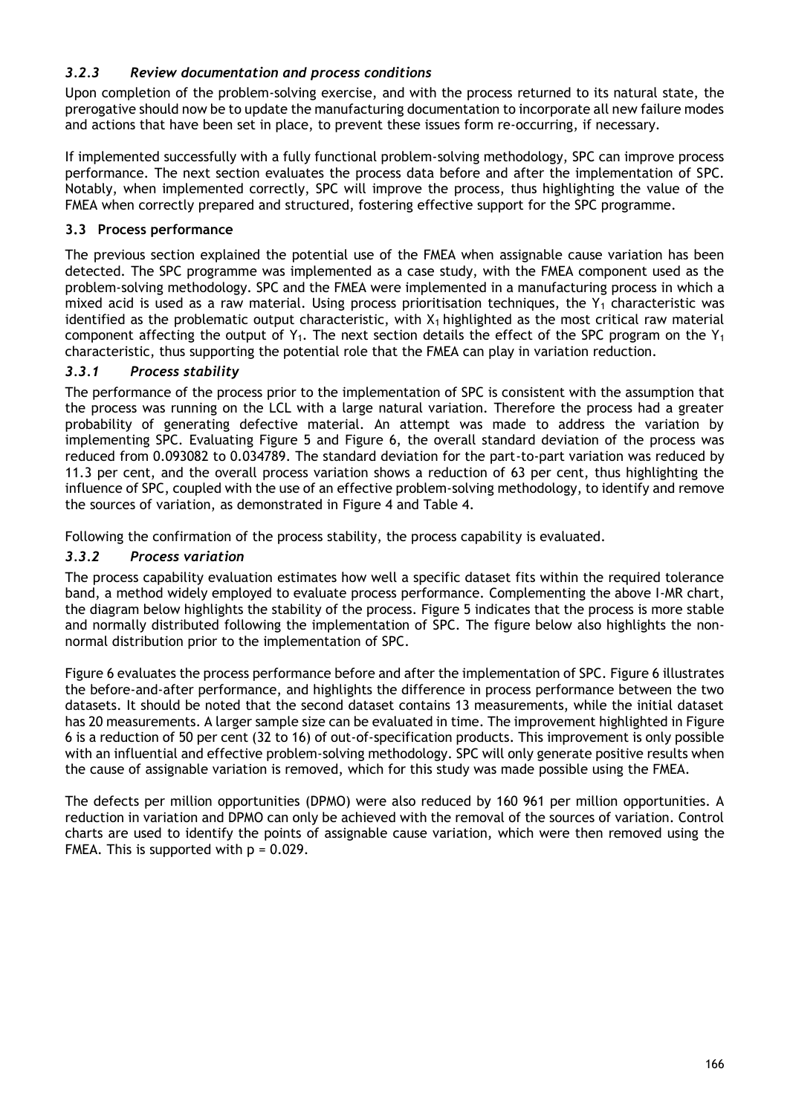# *3.2.3 Review documentation and process conditions*

Upon completion of the problem-solving exercise, and with the process returned to its natural state, the prerogative should now be to update the manufacturing documentation to incorporate all new failure modes and actions that have been set in place, to prevent these issues form re-occurring, if necessary.

If implemented successfully with a fully functional problem-solving methodology, SPC can improve process performance. The next section evaluates the process data before and after the implementation of SPC. Notably, when implemented correctly, SPC will improve the process, thus highlighting the value of the FMEA when correctly prepared and structured, fostering effective support for the SPC programme.

## **3.3 Process performance**

The previous section explained the potential use of the FMEA when assignable cause variation has been detected. The SPC programme was implemented as a case study, with the FMEA component used as the problem-solving methodology. SPC and the FMEA were implemented in a manufacturing process in which a mixed acid is used as a raw material. Using process prioritisation techniques, the  $Y_1$  characteristic was identified as the problematic output characteristic, with  $X_1$  highlighted as the most critical raw material component affecting the output of  $Y_1$ . The next section details the effect of the SPC program on the  $Y_1$ characteristic, thus supporting the potential role that the FMEA can play in variation reduction.

# *3.3.1 Process stability*

The performance of the process prior to the implementation of SPC is consistent with the assumption that the process was running on the LCL with a large natural variation. Therefore the process had a greater probability of generating defective material. An attempt was made to address the variation by implementing SPC. Evaluating [Figure 5](#page-10-0) and [Figure 6,](#page-10-1) the overall standard deviation of the process was reduced from 0.093082 to 0.034789. The standard deviation for the part-to-part variation was reduced by 11.3 per cent, and the overall process variation shows a reduction of 63 per cent, thus highlighting the influence of SPC, coupled with the use of an effective problem-solving methodology, to identify and remove the sources of variation, as demonstrated in [Figure 4](#page-7-1) and [Table](#page-8-0) 4.

Following the confirmation of the process stability, the process capability is evaluated.

# *3.3.2 Process variation*

The process capability evaluation estimates how well a specific dataset fits within the required tolerance band, a method widely employed to evaluate process performance. Complementing the above I-MR chart, the diagram below highlights the stability of the process. [Figure 5](#page-10-0) indicates that the process is more stable and normally distributed following the implementation of SPC. The figure below also highlights the nonnormal distribution prior to the implementation of SPC.

[Figure 6](#page-10-1) evaluates the process performance before and after the implementation of SPC. [Figure 6](#page-10-1) illustrates the before-and-after performance, and highlights the difference in process performance between the two datasets. It should be noted that the second dataset contains 13 measurements, while the initial dataset has 20 measurements. A larger sample size can be evaluated in time. The improvement highlighted i[n Figure](#page-10-1)  [6](#page-10-1) is a reduction of 50 per cent (32 to 16) of out-of-specification products. This improvement is only possible with an influential and effective problem-solving methodology. SPC will only generate positive results when the cause of assignable variation is removed, which for this study was made possible using the FMEA.

The defects per million opportunities (DPMO) were also reduced by 160 961 per million opportunities. A reduction in variation and DPMO can only be achieved with the removal of the sources of variation. Control charts are used to identify the points of assignable cause variation, which were then removed using the FMEA. This is supported with  $p = 0.029$ .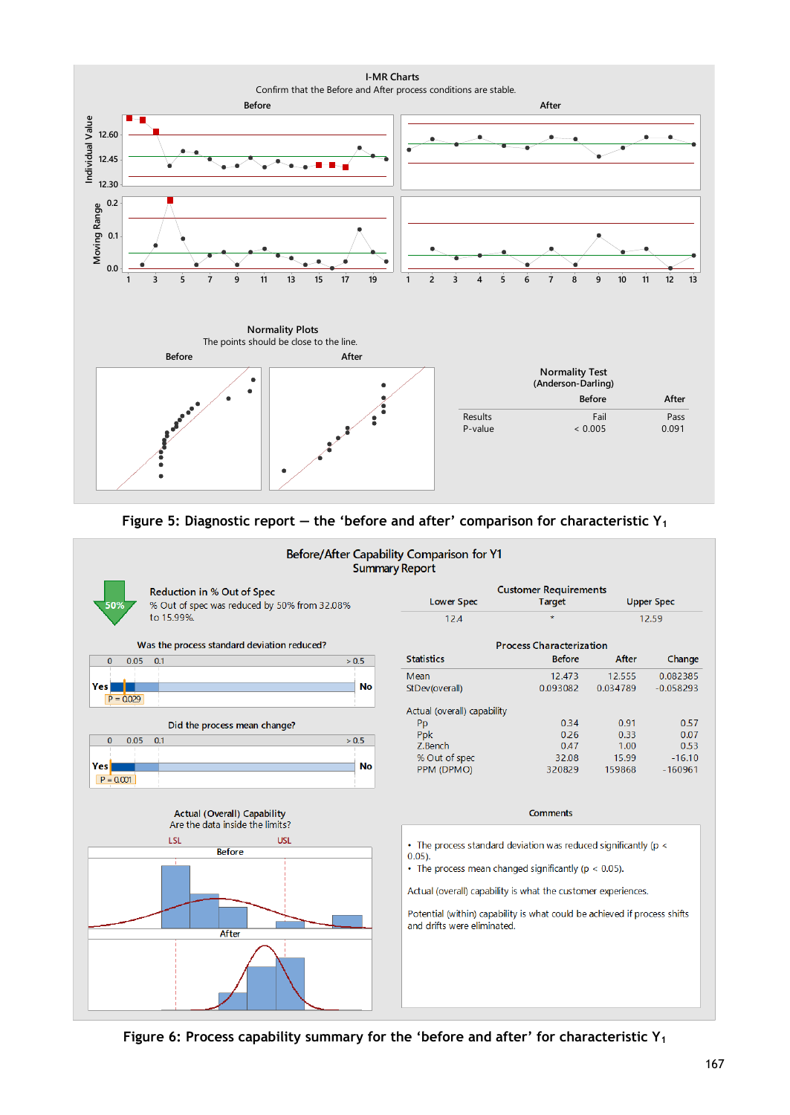

<span id="page-10-0"></span>**Figure 5: Diagnostic report — the 'before and after' comparison for characteristic Y<sup>1</sup>**

Before/After Capability Comparison for Y1 **Summary Report** 



<span id="page-10-1"></span>**Figure 6: Process capability summary for the 'before and after' for characteristic Y<sup>1</sup>**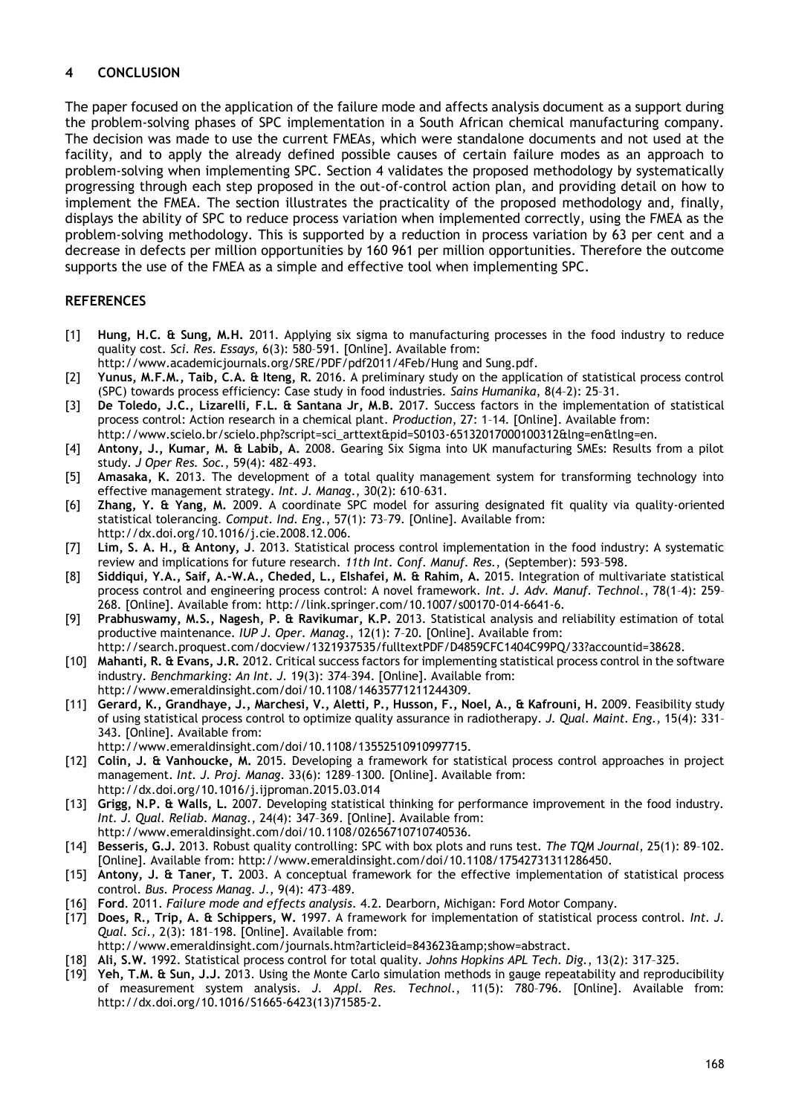#### **4 CONCLUSION**

The paper focused on the application of the failure mode and affects analysis document as a support during the problem-solving phases of SPC implementation in a South African chemical manufacturing company. The decision was made to use the current FMEAs, which were standalone documents and not used at the facility, and to apply the already defined possible causes of certain failure modes as an approach to problem-solving when implementing SPC. Section 4 validates the proposed methodology by systematically progressing through each step proposed in the out-of-control action plan, and providing detail on how to implement the FMEA. The section illustrates the practicality of the proposed methodology and, finally, displays the ability of SPC to reduce process variation when implemented correctly, using the FMEA as the problem-solving methodology. This is supported by a reduction in process variation by 63 per cent and a decrease in defects per million opportunities by 160 961 per million opportunities. Therefore the outcome supports the use of the FMEA as a simple and effective tool when implementing SPC.

#### **REFERENCES**

- [1] **Hung, H.C. & Sung, M.H.** 2011. Applying six sigma to manufacturing processes in the food industry to reduce quality cost. *Sci. Res. Essays,* 6(3): 580–591. [Online]. Available from:
- http://www.academicjournals.org/SRE/PDF/pdf2011/4Feb/Hung and Sung.pdf.
- [2] **Yunus, M.F.M., Taib, C.A. & Iteng, R.** 2016. A preliminary study on the application of statistical process control (SPC) towards process efficiency: Case study in food industries. *Sains Humanika*, 8(4–2): 25–31.
- [3] **De Toledo, J.C., Lizarelli, F.L. & Santana Jr, M.B.** 2017. Success factors in the implementation of statistical process control: Action research in a chemical plant. *Production*, 27: 1–14. [Online]. Available from:
- http://www.scielo.br/scielo.php?script=sci\_arttext&pid=S0103-65132017000100312&lng=en&tlng=en. [4] **Antony, J., Kumar, M. & Labib, A.** 2008. Gearing Six Sigma into UK manufacturing SMEs: Results from a pilot
- study. *J Oper Res. Soc.*, 59(4): 482–493.
- [5] **Amasaka, K.** 2013. The development of a total quality management system for transforming technology into effective management strategy. *Int. J. Manag*., 30(2): 610–631.
- [6] **Zhang, Y. & Yang, M.** 2009. A coordinate SPC model for assuring designated fit quality via quality-oriented statistical tolerancing. *Comput. Ind. Eng*., 57(1): 73–79. [Online]. Available from: http://dx.doi.org/10.1016/j.cie.2008.12.006.
- [7] **Lim, S. A. H., & Antony, J**. 2013. Statistical process control implementation in the food industry: A systematic review and implications for future research. *11th Int. Conf. Manuf. Res.*, (September): 593–598.
- [8] **Siddiqui, Y.A., Saif, A.-W.A., Cheded, L., Elshafei, M. & Rahim, A.** 2015. Integration of multivariate statistical process control and engineering process control: A novel framework. *Int. J. Adv. Manuf. Technol*., 78(1–4): 259– 268. [Online]. Available from: http://link.springer.com/10.1007/s00170-014-6641-6.
- [9] **Prabhuswamy, M.S., Nagesh, P. & Ravikumar, K.P.** 2013. Statistical analysis and reliability estimation of total productive maintenance. *IUP J. Oper. Manag*., 12(1): 7–20. [Online]. Available from: http://search.proquest.com/docview/1321937535/fulltextPDF/D4859CFC1404C99PQ/33?accountid=38628.
- [10] **Mahanti, R. & Evans, J.R.** 2012. Critical success factors for implementing statistical process control in the software industry. *Benchmarking: An Int. J.* 19(3): 374–394. [Online]. Available from: http://www.emeraldinsight.com/doi/10.1108/14635771211244309.
- [11] **Gerard, K., Grandhaye, J., Marchesi, V., Aletti, P., Husson, F., Noel, A., & Kafrouni, H.** 2009. Feasibility study of using statistical process control to optimize quality assurance in radiotherapy. *J. Qual. Maint. Eng.,* 15(4): 331– 343. [Online]. Available from:
	- http://www.emeraldinsight.com/doi/10.1108/13552510910997715.
- [12] **Colin, J. & Vanhoucke, M.** 2015. Developing a framework for statistical process control approaches in project management. *Int. J. Proj. Manag.* 33(6): 1289–1300. [Online]. Available from: http://dx.doi.org/10.1016/j.ijproman.2015.03.014
- [13] **Grigg, N.P. & Walls, L.** 2007. Developing statistical thinking for performance improvement in the food industry. *Int. J. Qual. Reliab. Manag*., 24(4): 347–369. [Online]. Available from: http://www.emeraldinsight.com/doi/10.1108/02656710710740536.
- [14] **Besseris, G.J.** 2013. Robust quality controlling: SPC with box plots and runs test. *The TQM Journal*, 25(1): 89–102. [Online]. Available from: http://www.emeraldinsight.com/doi/10.1108/17542731311286450.
- [15] **Antony, J. & Taner, T.** 2003. A conceptual framework for the effective implementation of statistical process control. *Bus. Process Manag. J.,* 9(4): 473–489.
- [16] **Ford**. 2011. *Failure mode and effects analysis*. 4.2. Dearborn, Michigan: Ford Motor Company.
- [17] **Does, R., Trip, A. & Schippers, W.** 1997. A framework for implementation of statistical process control. *Int. J. Qual. Sci.,* 2(3): 181–198. [Online]. Available from:
- http://www.emeraldinsight.com/journals.htm?articleid=843623&show=abstract.
- [18] **Ali, S.W.** 1992. Statistical process control for total quality. *Johns Hopkins APL Tech. Dig.*, 13(2): 317–325.
- [19] **Yeh, T.M. & Sun, J.J.** 2013. Using the Monte Carlo simulation methods in gauge repeatability and reproducibility of measurement system analysis. *J. Appl. Res. Technol.*, 11(5): 780–796. [Online]. Available from: http://dx.doi.org/10.1016/S1665-6423(13)71585-2.